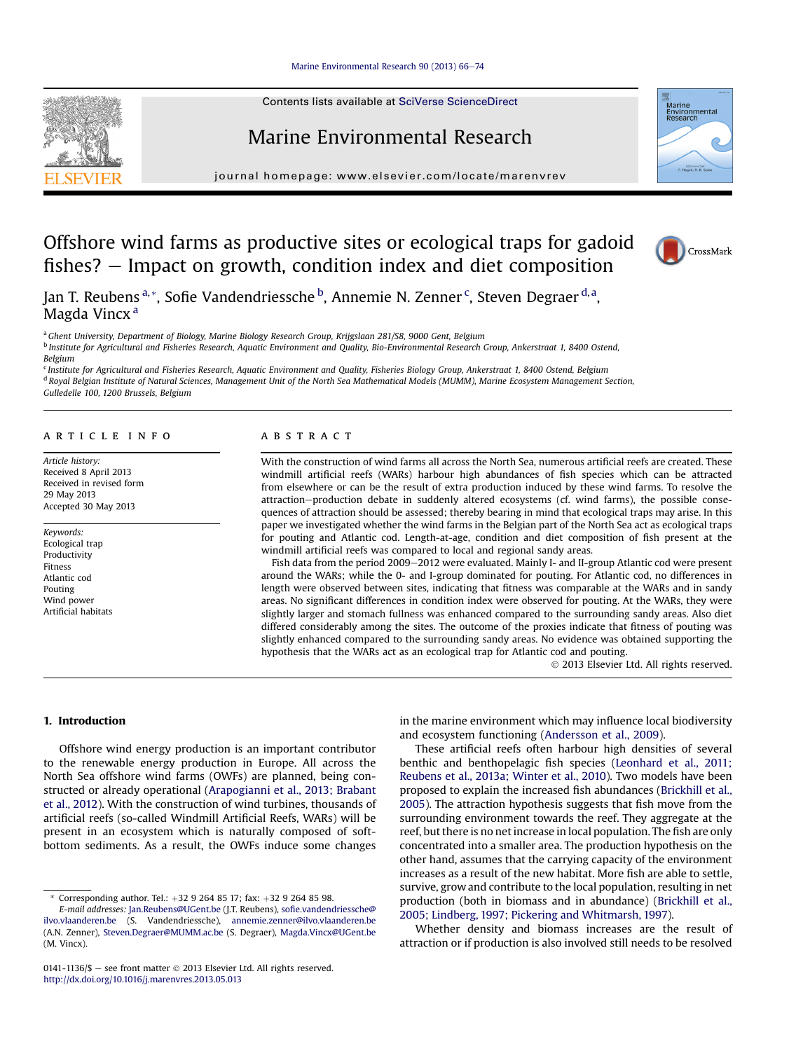[Marine Environmental Research 90 \(2013\) 66](http://dx.doi.org/10.1016/j.marenvres.2013.05.013)-[74](http://dx.doi.org/10.1016/j.marenvres.2013.05.013)

Contents lists available at SciVerse ScienceDirect

# Marine Environmental Research

journal homepage: [www.elsevier.com/locate/marenvrev](http://www.elsevier.com/locate/marenvrev)



# Offshore wind farms as productive sites or ecological traps for gadoid fishes?  $-$  Impact on growth, condition index and diet composition



Jan T. Reubens <sup>a, \*</sup>, Sofie Vandendriessche <sup>b</sup>, Annemie N. Zenner <sup>c</sup>, Steven Degraer <sup>d, a</sup>, Magda Vincx<sup>a</sup>

a Ghent University, Department of Biology, Marine Biology Research Group, Krijgslaan 281/S8, 9000 Gent, Belgium

<sup>b</sup> Institute for Agricultural and Fisheries Research, Aquatic Environment and Quality, Bio-Environmental Research Group, Ankerstraat 1, 8400 Ostend, Belgium

<sup>c</sup> Institute for Agricultural and Fisheries Research, Aquatic Environment and Quality, Fisheries Biology Group, Ankerstraat 1, 8400 Ostend, Belgium <sup>d</sup> Royal Belgian Institute of Natural Sciences, Management Unit of the North Sea Mathematical Models (MUMM), Marine Ecosystem Management Section, Gulledelle 100, 1200 Brussels, Belgium

#### article info

Article history: Received 8 April 2013 Received in revised form 29 May 2013 Accepted 30 May 2013

Keywords: Ecological trap Productivity Fitness Atlantic cod Pouting Wind power Artificial habitats

## **ABSTRACT**

With the construction of wind farms all across the North Sea, numerous artificial reefs are created. These windmill artificial reefs (WARs) harbour high abundances of fish species which can be attracted from elsewhere or can be the result of extra production induced by these wind farms. To resolve the attraction-production debate in suddenly altered ecosystems (cf. wind farms), the possible consequences of attraction should be assessed; thereby bearing in mind that ecological traps may arise. In this paper we investigated whether the wind farms in the Belgian part of the North Sea act as ecological traps for pouting and Atlantic cod. Length-at-age, condition and diet composition of fish present at the windmill artificial reefs was compared to local and regional sandy areas.

Fish data from the period 2009-2012 were evaluated. Mainly I- and II-group Atlantic cod were present around the WARs; while the 0- and I-group dominated for pouting. For Atlantic cod, no differences in length were observed between sites, indicating that fitness was comparable at the WARs and in sandy areas. No significant differences in condition index were observed for pouting. At the WARs, they were slightly larger and stomach fullness was enhanced compared to the surrounding sandy areas. Also diet differed considerably among the sites. The outcome of the proxies indicate that fitness of pouting was slightly enhanced compared to the surrounding sandy areas. No evidence was obtained supporting the hypothesis that the WARs act as an ecological trap for Atlantic cod and pouting.

2013 Elsevier Ltd. All rights reserved.

1. Introduction

Offshore wind energy production is an important contributor to the renewable energy production in Europe. All across the North Sea offshore wind farms (OWFs) are planned, being constructed or already operational ([Arapogianni et al., 2013; Brabant](#page-8-0) [et al., 2012\)](#page-8-0). With the construction of wind turbines, thousands of artificial reefs (so-called Windmill Artificial Reefs, WARs) will be present in an ecosystem which is naturally composed of softbottom sediments. As a result, the OWFs induce some changes in the marine environment which may influence local biodiversity and ecosystem functioning [\(Andersson et al., 2009\)](#page-8-0).

These artificial reefs often harbour high densities of several benthic and benthopelagic fish species ([Leonhard et al., 2011;](#page-8-0) [Reubens et al., 2013a; Winter et al., 2010\)](#page-8-0). Two models have been proposed to explain the increased fish abundances [\(Brickhill et al.,](#page-8-0) [2005](#page-8-0)). The attraction hypothesis suggests that fish move from the surrounding environment towards the reef. They aggregate at the reef, but there is no net increase in local population. The fish are only concentrated into a smaller area. The production hypothesis on the other hand, assumes that the carrying capacity of the environment increases as a result of the new habitat. More fish are able to settle, survive, grow and contribute to the local population, resulting in net production (both in biomass and in abundance) [\(Brickhill et al.,](#page-8-0) [2005; Lindberg, 1997; Pickering and Whitmarsh, 1997](#page-8-0)).

Whether density and biomass increases are the result of attraction or if production is also involved still needs to be resolved

<sup>\*</sup> Corresponding author. Tel.:  $+32$  9 264 85 17; fax:  $+32$  9 264 85 98.

E-mail addresses: [Jan.Reubens@UGent.be](mailto:Jan.Reubens@UGent.be) (J.T. Reubens), sofi[e.vandendriessche@](mailto:sofie.vandendriessche@ilvo.vlaanderen.be) [ilvo.vlaanderen.be](mailto:sofie.vandendriessche@ilvo.vlaanderen.be) (S. Vandendriessche), [annemie.zenner@ilvo.vlaanderen.be](mailto:annemie.zenner@ilvo.vlaanderen.be) (A.N. Zenner), [Steven.Degraer@MUMM.ac.be](mailto:Steven.Degraer@MUMM.ac.be) (S. Degraer), [Magda.Vincx@UGent.be](mailto:Magda.Vincx@UGent.be) (M. Vincx).

<sup>0141-1136/\$ -</sup> see front matter  $\odot$  2013 Elsevier Ltd. All rights reserved. <http://dx.doi.org/10.1016/j.marenvres.2013.05.013>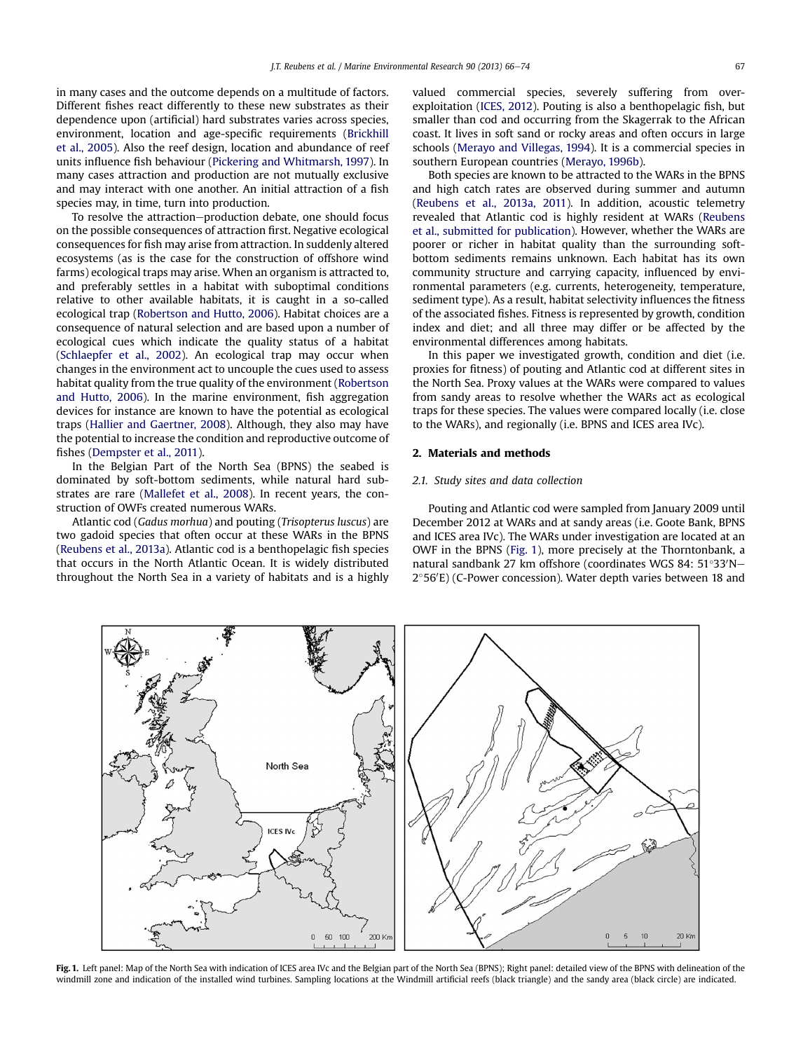<span id="page-1-0"></span>in many cases and the outcome depends on a multitude of factors. Different fishes react differently to these new substrates as their dependence upon (artificial) hard substrates varies across species, environment, location and age-specific requirements [\(Brickhill](#page-8-0) [et al., 2005](#page-8-0)). Also the reef design, location and abundance of reef units influence fish behaviour [\(Pickering and Whitmarsh, 1997\)](#page-8-0). In many cases attraction and production are not mutually exclusive and may interact with one another. An initial attraction of a fish species may, in time, turn into production.

To resolve the attraction-production debate, one should focus on the possible consequences of attraction first. Negative ecological consequences for fish may arise from attraction. In suddenly altered ecosystems (as is the case for the construction of offshore wind farms) ecological traps may arise. When an organism is attracted to, and preferably settles in a habitat with suboptimal conditions relative to other available habitats, it is caught in a so-called ecological trap ([Robertson and Hutto, 2006\)](#page-8-0). Habitat choices are a consequence of natural selection and are based upon a number of ecological cues which indicate the quality status of a habitat ([Schlaepfer et al., 2002\)](#page-8-0). An ecological trap may occur when changes in the environment act to uncouple the cues used to assess habitat quality from the true quality of the environment [\(Robertson](#page-8-0) [and Hutto, 2006\)](#page-8-0). In the marine environment, fish aggregation devices for instance are known to have the potential as ecological traps ([Hallier and Gaertner, 2008\)](#page-8-0). Although, they also may have the potential to increase the condition and reproductive outcome of fishes ([Dempster et al., 2011\)](#page-8-0).

In the Belgian Part of the North Sea (BPNS) the seabed is dominated by soft-bottom sediments, while natural hard substrates are rare ([Mallefet et al., 2008\)](#page-8-0). In recent years, the construction of OWFs created numerous WARs.

Atlantic cod (Gadus morhua) and pouting (Trisopterus luscus) are two gadoid species that often occur at these WARs in the BPNS ([Reubens et al., 2013a\)](#page-8-0). Atlantic cod is a benthopelagic fish species that occurs in the North Atlantic Ocean. It is widely distributed throughout the North Sea in a variety of habitats and is a highly valued commercial species, severely suffering from overexploitation ([ICES, 2012](#page-8-0)). Pouting is also a benthopelagic fish, but smaller than cod and occurring from the Skagerrak to the African coast. It lives in soft sand or rocky areas and often occurs in large schools [\(Merayo and Villegas, 1994\)](#page-8-0). It is a commercial species in southern European countries [\(Merayo, 1996b](#page-8-0)).

Both species are known to be attracted to the WARs in the BPNS and high catch rates are observed during summer and autumn ([Reubens et al., 2013a, 2011\)](#page-8-0). In addition, acoustic telemetry revealed that Atlantic cod is highly resident at WARs ([Reubens](#page-8-0) [et al., submitted for publication](#page-8-0)). However, whether the WARs are poorer or richer in habitat quality than the surrounding softbottom sediments remains unknown. Each habitat has its own community structure and carrying capacity, influenced by environmental parameters (e.g. currents, heterogeneity, temperature, sediment type). As a result, habitat selectivity influences the fitness of the associated fishes. Fitness is represented by growth, condition index and diet; and all three may differ or be affected by the environmental differences among habitats.

In this paper we investigated growth, condition and diet (i.e. proxies for fitness) of pouting and Atlantic cod at different sites in the North Sea. Proxy values at the WARs were compared to values from sandy areas to resolve whether the WARs act as ecological traps for these species. The values were compared locally (i.e. close to the WARs), and regionally (i.e. BPNS and ICES area IVc).

## 2. Materials and methods

## 2.1. Study sites and data collection

Pouting and Atlantic cod were sampled from January 2009 until December 2012 at WARs and at sandy areas (i.e. Goote Bank, BPNS and ICES area IVc). The WARs under investigation are located at an OWF in the BPNS (Fig. 1), more precisely at the Thorntonbank, a natural sandbank 27 km offshore (coordinates WGS 84: 51°33'N– 2°56'E) (C-Power concession). Water depth varies between 18 and



Fig. 1. Left panel: Map of the North Sea with indication of ICES area IVc and the Belgian part of the North Sea (BPNS); Right panel: detailed view of the BPNS with delineation of the windmill zone and indication of the installed wind turbines. Sampling locations at the Windmill artificial reefs (black triangle) and the sandy area (black circle) are indicated.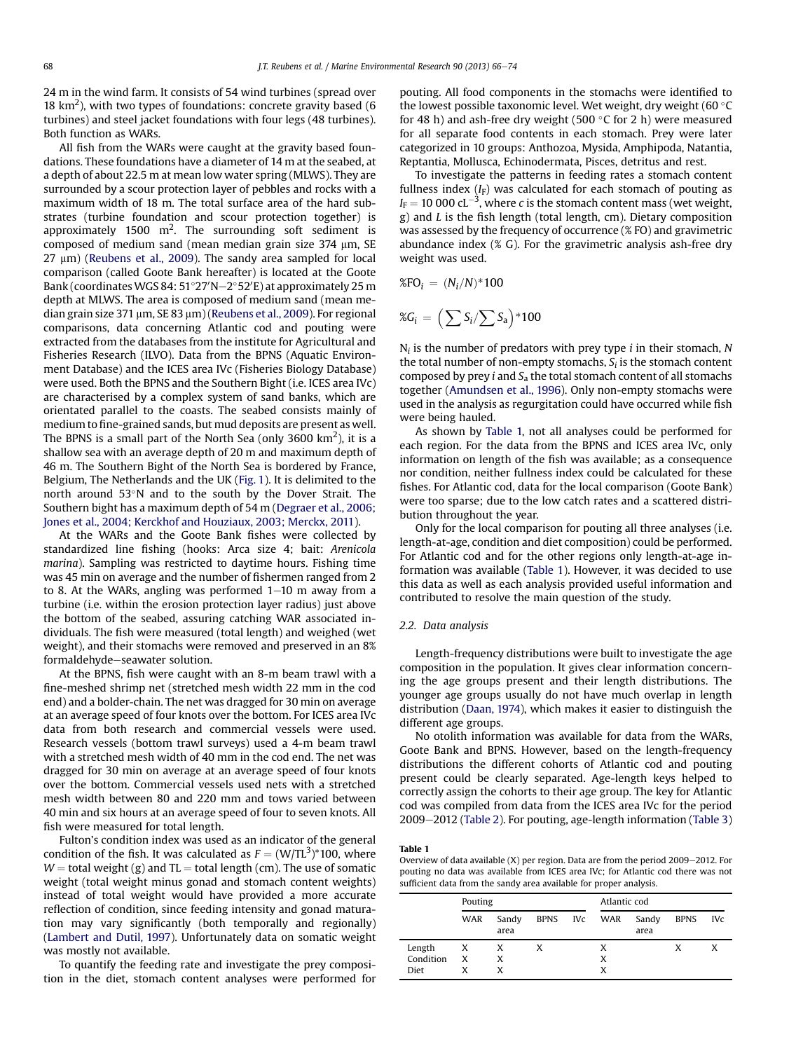24 m in the wind farm. It consists of 54 wind turbines (spread over 18  $\text{km}^2$ ), with two types of foundations: concrete gravity based (6 turbines) and steel jacket foundations with four legs (48 turbines). Both function as WARs.

All fish from the WARs were caught at the gravity based foundations. These foundations have a diameter of 14 m at the seabed, at a depth of about 22.5 m at mean low water spring (MLWS). They are surrounded by a scour protection layer of pebbles and rocks with a maximum width of 18 m. The total surface area of the hard substrates (turbine foundation and scour protection together) is approximately 1500  $m^2$ . The surrounding soft sediment is composed of medium sand (mean median grain size  $374 \mu m$ , SE  $27 \mu m$ ) [\(Reubens et al., 2009](#page-8-0)). The sandy area sampled for local comparison (called Goote Bank hereafter) is located at the Goote Bank (coordinates WGS 84: 51°27′N–2°52′E) at approximately 25 m depth at MLWS. The area is composed of medium sand (mean median grain size 371  $\mu$ m, SE 83  $\mu$ m) ([Reubens et al., 2009](#page-8-0)). For regional comparisons, data concerning Atlantic cod and pouting were extracted from the databases from the institute for Agricultural and Fisheries Research (ILVO). Data from the BPNS (Aquatic Environment Database) and the ICES area IVc (Fisheries Biology Database) were used. Both the BPNS and the Southern Bight (i.e. ICES area IVc) are characterised by a complex system of sand banks, which are orientated parallel to the coasts. The seabed consists mainly of medium to fine-grained sands, but mud deposits are present as well. The BPNS is a small part of the North Sea (only 3600 km<sup>2</sup>), it is a shallow sea with an average depth of 20 m and maximum depth of 46 m. The Southern Bight of the North Sea is bordered by France, Belgium, The Netherlands and the UK [\(Fig. 1\)](#page-1-0). It is delimited to the north around 53°N and to the south by the Dover Strait. The Southern bight has a maximum depth of 54 m ([Degraer et al., 2006;](#page-8-0) [Jones et al., 2004; Kerckhof and Houziaux, 2003; Merckx, 2011\)](#page-8-0).

At the WARs and the Goote Bank fishes were collected by standardized line fishing (hooks: Arca size 4; bait: Arenicola marina). Sampling was restricted to daytime hours. Fishing time was 45 min on average and the number of fishermen ranged from 2 to 8. At the WARs, angling was performed  $1-10$  m away from a turbine (i.e. within the erosion protection layer radius) just above the bottom of the seabed, assuring catching WAR associated individuals. The fish were measured (total length) and weighed (wet weight), and their stomachs were removed and preserved in an 8% formaldehyde-seawater solution.

At the BPNS, fish were caught with an 8-m beam trawl with a fine-meshed shrimp net (stretched mesh width 22 mm in the cod end) and a bolder-chain. The net was dragged for 30 min on average at an average speed of four knots over the bottom. For ICES area IVc data from both research and commercial vessels were used. Research vessels (bottom trawl surveys) used a 4-m beam trawl with a stretched mesh width of 40 mm in the cod end. The net was dragged for 30 min on average at an average speed of four knots over the bottom. Commercial vessels used nets with a stretched mesh width between 80 and 220 mm and tows varied between 40 min and six hours at an average speed of four to seven knots. All fish were measured for total length.

Fulton's condition index was used as an indicator of the general condition of the fish. It was calculated as  $F = (W/TL^3)^*100$ , where  $W =$  total weight (g) and TL = total length (cm). The use of somatic weight (total weight minus gonad and stomach content weights) instead of total weight would have provided a more accurate reflection of condition, since feeding intensity and gonad maturation may vary significantly (both temporally and regionally) ([Lambert and Dutil, 1997\)](#page-8-0). Unfortunately data on somatic weight was mostly not available.

To quantify the feeding rate and investigate the prey composition in the diet, stomach content analyses were performed for pouting. All food components in the stomachs were identified to the lowest possible taxonomic level. Wet weight, dry weight (60  $^{\circ}$ C for 48 h) and ash-free dry weight (500  $\degree$ C for 2 h) were measured for all separate food contents in each stomach. Prey were later categorized in 10 groups: Anthozoa, Mysida, Amphipoda, Natantia, Reptantia, Mollusca, Echinodermata, Pisces, detritus and rest.

To investigate the patterns in feeding rates a stomach content fullness index  $(I_F)$  was calculated for each stomach of pouting as  $I_F = 10\,000\,\text{cL}^{-3}$ , where c is the stomach content mass (wet weight, g) and L is the fish length (total length, cm). Dietary composition was assessed by the frequency of occurrence (% FO) and gravimetric abundance index (% G). For the gravimetric analysis ash-free dry weight was used.

$$
\%\mathrm{FO}_i\,=\,(N_i/N)^*100
$$

$$
\%\textit{G}_i \,=\, \Big(\sum{S_i}/\sum{S_a}\Big) \text{*100}
$$

 $N_i$  is the number of predators with prey type *i* in their stomach, N the total number of non-empty stomachs,  $S_i$  is the stomach content composed by prey i and  $S_a$  the total stomach content of all stomachs together [\(Amundsen et al., 1996](#page-7-0)). Only non-empty stomachs were used in the analysis as regurgitation could have occurred while fish were being hauled.

As shown by Table 1, not all analyses could be performed for each region. For the data from the BPNS and ICES area IVc, only information on length of the fish was available; as a consequence nor condition, neither fullness index could be calculated for these fishes. For Atlantic cod, data for the local comparison (Goote Bank) were too sparse; due to the low catch rates and a scattered distribution throughout the year.

Only for the local comparison for pouting all three analyses (i.e. length-at-age, condition and diet composition) could be performed. For Atlantic cod and for the other regions only length-at-age information was available (Table 1). However, it was decided to use this data as well as each analysis provided useful information and contributed to resolve the main question of the study.

## 2.2. Data analysis

Length-frequency distributions were built to investigate the age composition in the population. It gives clear information concerning the age groups present and their length distributions. The younger age groups usually do not have much overlap in length distribution ([Daan, 1974\)](#page-8-0), which makes it easier to distinguish the different age groups.

No otolith information was available for data from the WARs, Goote Bank and BPNS. However, based on the length-frequency distributions the different cohorts of Atlantic cod and pouting present could be clearly separated. Age-length keys helped to correctly assign the cohorts to their age group. The key for Atlantic cod was compiled from data from the ICES area IVc for the period 2009-2012 ([Table 2](#page-3-0)). For pouting, age-length information [\(Table 3\)](#page-3-0)

#### Table 1

Overview of data available  $(X)$  per region. Data are from the period 2009-2012. For pouting no data was available from ICES area IVc; for Atlantic cod there was not sufficient data from the sandy area available for proper analysis.

|           | Pouting |               |   | Atlantic cod |               |             |            |  |  |
|-----------|---------|---------------|---|--------------|---------------|-------------|------------|--|--|
|           | WAR     | Sandy<br>area |   | BPNS IVc WAR | Sandy<br>area | <b>BPNS</b> | <b>IVc</b> |  |  |
| Length    | X       | X             | X | х            |               | х           | X          |  |  |
| Condition | X       | X             |   | x            |               |             |            |  |  |
| Diet      | x       | X             |   | x            |               |             |            |  |  |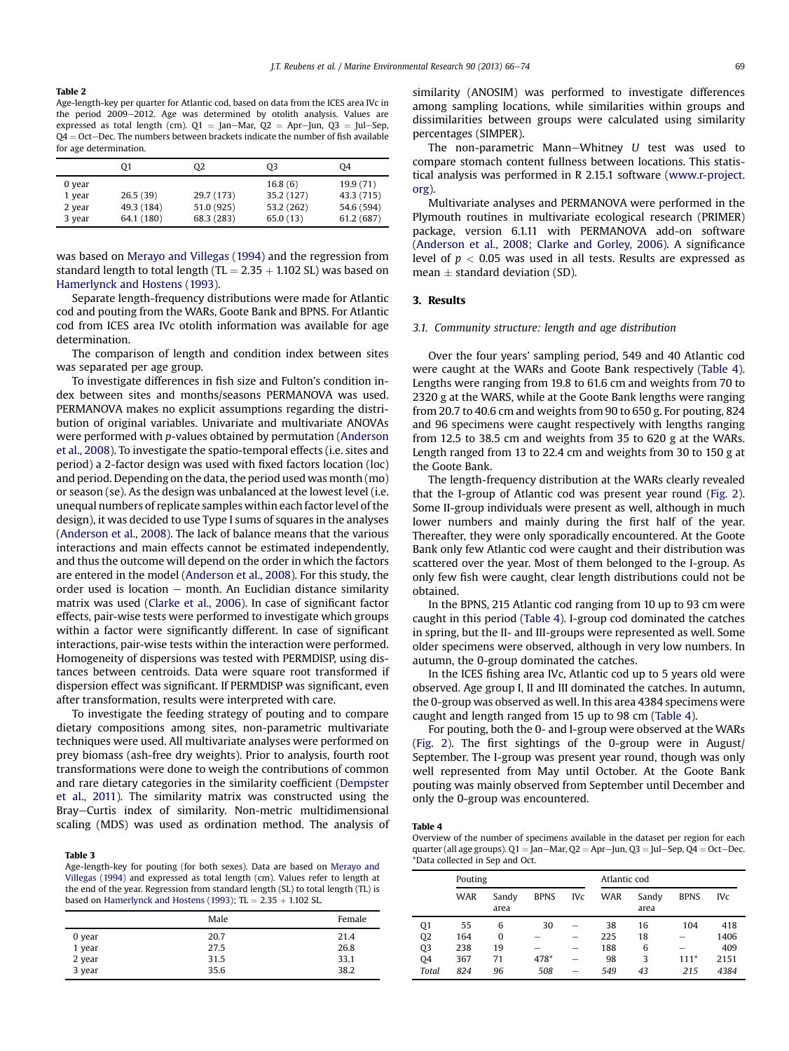<span id="page-3-0"></span>Table 2

Age-length-key per quarter for Atlantic cod, based on data from the ICES area IVc in the period 2009-2012. Age was determined by otolith analysis. Values are expressed as total length (cm).  $Q1 = Jan-Mar$ ,  $Q2 = Apr-Jun$ ,  $Q3 = Jul-Sep$ ,  $Q4 = Oct - Dec$ . The numbers between brackets indicate the number of fish available for age determination.

|        | 01         | Q <sub>2</sub> | Q3         | 04         |
|--------|------------|----------------|------------|------------|
| 0 year |            |                | 16.8(6)    | 19.9(71)   |
| 1 year | 26.5(39)   | 29.7 (173)     | 35.2 (127) | 43.3 (715) |
| 2 year | 49.3 (184) | 51.0 (925)     | 53.2 (262) | 54.6 (594) |
| 3 year | 64.1 (180) | 68.3 (283)     | 65.0(13)   | 61.2 (687) |

was based on [Merayo and Villegas \(1994\)](#page-8-0) and the regression from standard length to total length (TL  $= 2.35 + 1.102$  SL) was based on [Hamerlynck and Hostens \(1993\).](#page-8-0)

Separate length-frequency distributions were made for Atlantic cod and pouting from the WARs, Goote Bank and BPNS. For Atlantic cod from ICES area IVc otolith information was available for age determination.

The comparison of length and condition index between sites was separated per age group.

To investigate differences in fish size and Fulton's condition index between sites and months/seasons PERMANOVA was used. PERMANOVA makes no explicit assumptions regarding the distribution of original variables. Univariate and multivariate ANOVAs were performed with p-values obtained by permutation [\(Anderson](#page-7-0) [et al., 2008](#page-7-0)). To investigate the spatio-temporal effects (i.e. sites and period) a 2-factor design was used with fixed factors location (loc) and period. Depending on the data, the period used was month (mo) or season (se). As the design was unbalanced at the lowest level (i.e. unequal numbers of replicate samples within each factor level of the design), it was decided to use Type I sums of squares in the analyses ([Anderson et al., 2008\)](#page-7-0). The lack of balance means that the various interactions and main effects cannot be estimated independently, and thus the outcome will depend on the order in which the factors are entered in the model [\(Anderson et al., 2008\)](#page-7-0). For this study, the order used is location  $-$  month. An Euclidian distance similarity matrix was used [\(Clarke et al., 2006](#page-8-0)). In case of significant factor effects, pair-wise tests were performed to investigate which groups within a factor were significantly different. In case of significant interactions, pair-wise tests within the interaction were performed. Homogeneity of dispersions was tested with PERMDISP, using distances between centroids. Data were square root transformed if dispersion effect was significant. If PERMDISP was significant, even after transformation, results were interpreted with care.

To investigate the feeding strategy of pouting and to compare dietary compositions among sites, non-parametric multivariate techniques were used. All multivariate analyses were performed on prey biomass (ash-free dry weights). Prior to analysis, fourth root transformations were done to weigh the contributions of common and rare dietary categories in the similarity coefficient ([Dempster](#page-8-0) [et al., 2011\)](#page-8-0). The similarity matrix was constructed using the Bray-Curtis index of similarity. Non-metric multidimensional scaling (MDS) was used as ordination method. The analysis of

#### Table 3

Age-length-key for pouting (for both sexes). Data are based on [Merayo and](#page-8-0) [Villegas \(1994\)](#page-8-0) and expressed as total length (cm). Values refer to length at the end of the year. Regression from standard length (SL) to total length (TL) is based on [Hamerlynck and Hostens \(1993\)](#page-8-0);  $TL = 2.35 + 1.102$  SL.

|                  | Male | Female |
|------------------|------|--------|
| 0 year           | 20.7 | 21.4   |
| 1 year           | 27.5 | 26.8   |
|                  | 31.5 | 33.1   |
| 2 year<br>3 year | 35.6 | 38.2   |

similarity (ANOSIM) was performed to investigate differences among sampling locations, while similarities within groups and dissimilarities between groups were calculated using similarity percentages (SIMPER).

The non-parametric Mann-Whitney  $U$  test was used to compare stomach content fullness between locations. This statistical analysis was performed in R 2.15.1 software [\(www.r-project.](http://www.r-project.org) [org](http://www.r-project.org)).

Multivariate analyses and PERMANOVA were performed in the Plymouth routines in multivariate ecological research (PRIMER) package, version 6.1.11 with PERMANOVA add-on software ([Anderson et al., 2008; Clarke and Gorley, 2006](#page-7-0)). A significance level of  $p < 0.05$  was used in all tests. Results are expressed as mean  $\pm$  standard deviation (SD).

### 3. Results

### 3.1. Community structure: length and age distribution

Over the four years' sampling period, 549 and 40 Atlantic cod were caught at the WARs and Goote Bank respectively (Table 4). Lengths were ranging from 19.8 to 61.6 cm and weights from 70 to 2320 g at the WARS, while at the Goote Bank lengths were ranging from 20.7 to 40.6 cm and weights from 90 to 650 g. For pouting, 824 and 96 specimens were caught respectively with lengths ranging from 12.5 to 38.5 cm and weights from 35 to 620 g at the WARs. Length ranged from 13 to 22.4 cm and weights from 30 to 150 g at the Goote Bank.

The length-frequency distribution at the WARs clearly revealed that the I-group of Atlantic cod was present year round ([Fig. 2\)](#page-4-0). Some II-group individuals were present as well, although in much lower numbers and mainly during the first half of the year. Thereafter, they were only sporadically encountered. At the Goote Bank only few Atlantic cod were caught and their distribution was scattered over the year. Most of them belonged to the I-group. As only few fish were caught, clear length distributions could not be obtained.

In the BPNS, 215 Atlantic cod ranging from 10 up to 93 cm were caught in this period (Table 4). I-group cod dominated the catches in spring, but the II- and III-groups were represented as well. Some older specimens were observed, although in very low numbers. In autumn, the 0-group dominated the catches.

In the ICES fishing area IVc, Atlantic cod up to 5 years old were observed. Age group I, II and III dominated the catches. In autumn, the 0-group was observed as well. In this area 4384 specimens were caught and length ranged from 15 up to 98 cm (Table 4).

For pouting, both the 0- and I-group were observed at the WARs ([Fig. 2\)](#page-4-0). The first sightings of the 0-group were in August/ September. The I-group was present year round, though was only well represented from May until October. At the Goote Bank pouting was mainly observed from September until December and only the 0-group was encountered.

### Table 4

Overview of the number of specimens available in the dataset per region for each quarter (all age groups).  $Q1 = Jan-Mar$ ,  $Q2 = Apr-Jun$ ,  $Q3 = Jul-Sep$ ,  $Q4 = Oct-Dec$ . \*Data collected in Sep and Oct.

|                | Pouting    |               |             |                 | Atlantic cod |               |             |            |  |  |
|----------------|------------|---------------|-------------|-----------------|--------------|---------------|-------------|------------|--|--|
|                | <b>WAR</b> | Sandy<br>area | <b>BPNS</b> | IV <sub>c</sub> | <b>WAR</b>   | Sandy<br>area | <b>BPNS</b> | <b>IVc</b> |  |  |
| Q <sub>1</sub> | 55         | 6             | 30          |                 | 38           | 16            | 104         | 418        |  |  |
| Q <sub>2</sub> | 164        | 0             |             | -               | 225          | 18            |             | 1406       |  |  |
| Q <sub>3</sub> | 238        | 19            |             |                 | 188          | 6             |             | 409        |  |  |
| <b>04</b>      | 367        | 71            | 478*        | -               | 98           | 3             | $111*$      | 2151       |  |  |
| Total          | 824        | 96            | 508         | -               | 549          | 43            | 215         | 4384       |  |  |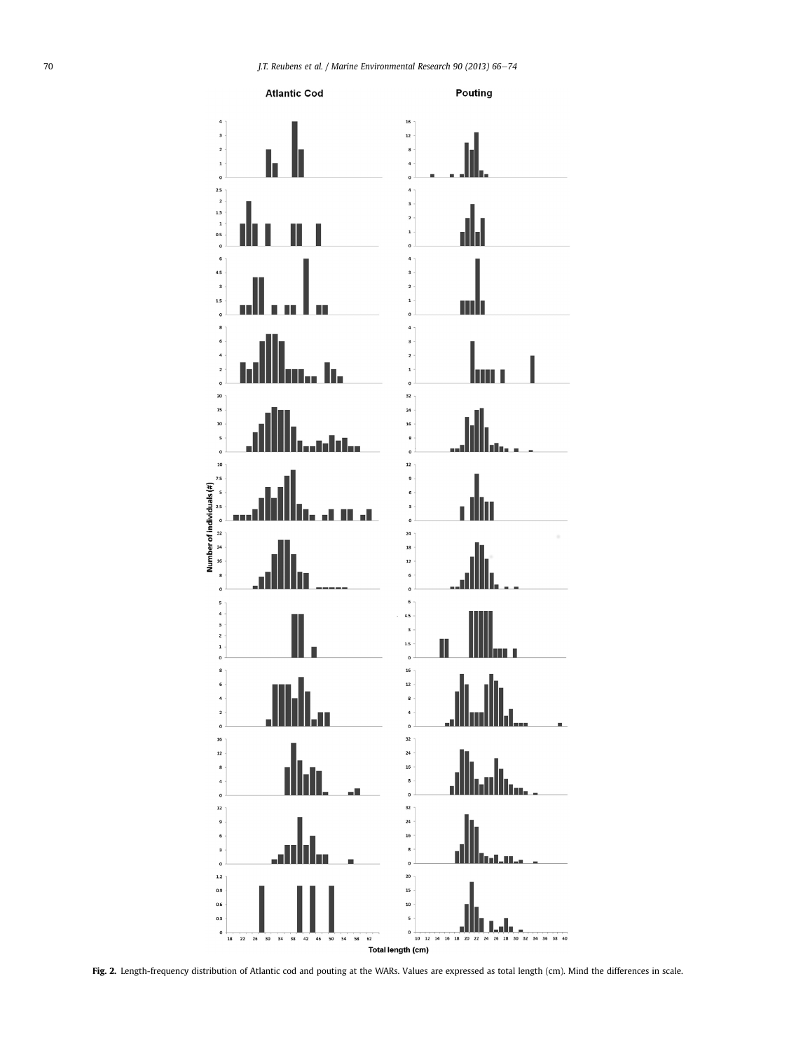<span id="page-4-0"></span>

Fig. 2. Length-frequency distribution of Atlantic cod and pouting at the WARs. Values are expressed as total length (cm). Mind the differences in scale.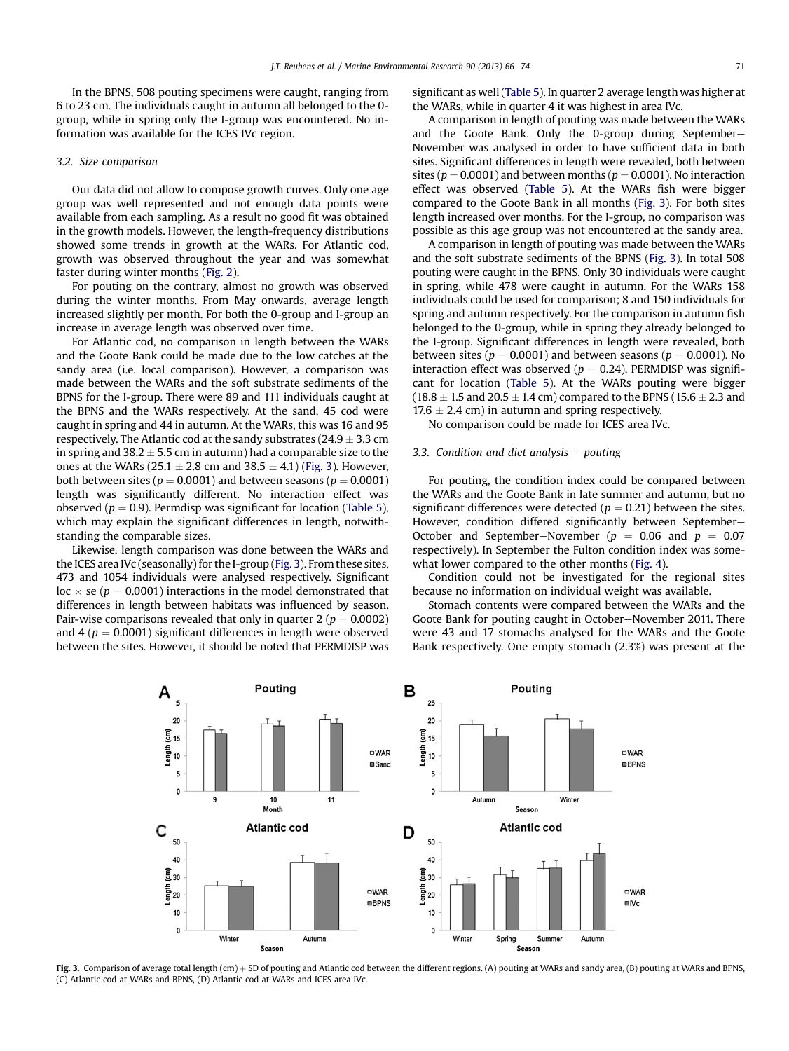<span id="page-5-0"></span>In the BPNS, 508 pouting specimens were caught, ranging from 6 to 23 cm. The individuals caught in autumn all belonged to the 0 group, while in spring only the I-group was encountered. No information was available for the ICES IVc region.

## 3.2. Size comparison

Our data did not allow to compose growth curves. Only one age group was well represented and not enough data points were available from each sampling. As a result no good fit was obtained in the growth models. However, the length-frequency distributions showed some trends in growth at the WARs. For Atlantic cod, growth was observed throughout the year and was somewhat faster during winter months ([Fig. 2\)](#page-4-0).

For pouting on the contrary, almost no growth was observed during the winter months. From May onwards, average length increased slightly per month. For both the 0-group and I-group an increase in average length was observed over time.

For Atlantic cod, no comparison in length between the WARs and the Goote Bank could be made due to the low catches at the sandy area (i.e. local comparison). However, a comparison was made between the WARs and the soft substrate sediments of the BPNS for the I-group. There were 89 and 111 individuals caught at the BPNS and the WARs respectively. At the sand, 45 cod were caught in spring and 44 in autumn. At the WARs, this was 16 and 95 respectively. The Atlantic cod at the sandy substrates ( $24.9 \pm 3.3$  cm in spring and  $38.2 \pm 5.5$  cm in autumn) had a comparable size to the ones at the WARs (25.1  $\pm$  2.8 cm and 38.5  $\pm$  4.1) (Fig. 3). However, both between sites ( $p = 0.0001$ ) and between seasons ( $p = 0.0001$ ) length was significantly different. No interaction effect was observed ( $p = 0.9$ ). Permdisp was significant for location ([Table 5\)](#page-6-0), which may explain the significant differences in length, notwithstanding the comparable sizes.

Likewise, length comparison was done between the WARs and the ICES area IVc (seasonally) for the I-group (Fig. 3). From these sites, 473 and 1054 individuals were analysed respectively. Significant  $loc \times$  se ( $p = 0.0001$ ) interactions in the model demonstrated that differences in length between habitats was influenced by season. Pair-wise comparisons revealed that only in quarter 2 ( $p = 0.0002$ ) and 4 ( $p = 0.0001$ ) significant differences in length were observed between the sites. However, it should be noted that PERMDISP was significant as well [\(Table 5](#page-6-0)). In quarter 2 average length was higher at the WARs, while in quarter 4 it was highest in area IVc.

A comparison in length of pouting was made between the WARs and the Goote Bank. Only the 0-group during September-November was analysed in order to have sufficient data in both sites. Significant differences in length were revealed, both between sites ( $p = 0.0001$ ) and between months ( $p = 0.0001$ ). No interaction effect was observed [\(Table 5\)](#page-6-0). At the WARs fish were bigger compared to the Goote Bank in all months (Fig. 3). For both sites length increased over months. For the I-group, no comparison was possible as this age group was not encountered at the sandy area.

A comparison in length of pouting was made between the WARs and the soft substrate sediments of the BPNS (Fig. 3). In total 508 pouting were caught in the BPNS. Only 30 individuals were caught in spring, while 478 were caught in autumn. For the WARs 158 individuals could be used for comparison; 8 and 150 individuals for spring and autumn respectively. For the comparison in autumn fish belonged to the 0-group, while in spring they already belonged to the I-group. Significant differences in length were revealed, both between sites ( $p = 0.0001$ ) and between seasons ( $p = 0.0001$ ). No interaction effect was observed ( $p = 0.24$ ). PERMDISP was significant for location ([Table 5\)](#page-6-0). At the WARs pouting were bigger  $(18.8 \pm 1.5$  and  $20.5 \pm 1.4$  cm) compared to the BPNS (15.6  $\pm$  2.3 and  $17.6 \pm 2.4$  cm) in autumn and spring respectively.

No comparison could be made for ICES area IVc.

# 3.3. Condition and diet analysis  $-$  pouting

For pouting, the condition index could be compared between the WARs and the Goote Bank in late summer and autumn, but no significant differences were detected ( $p = 0.21$ ) between the sites. However, condition differed significantly between September-October and September–November ( $p = 0.06$  and  $p = 0.07$ respectively). In September the Fulton condition index was somewhat lower compared to the other months ([Fig. 4\)](#page-6-0).

Condition could not be investigated for the regional sites because no information on individual weight was available.

Stomach contents were compared between the WARs and the Goote Bank for pouting caught in October-November 2011. There were 43 and 17 stomachs analysed for the WARs and the Goote Bank respectively. One empty stomach (2.3%) was present at the



Fig. 3. Comparison of average total length (cm) + SD of pouting and Atlantic cod between the different regions. (A) pouting at WARs and sandy area, (B) pouting at WARs and BPNS, (C) Atlantic cod at WARs and BPNS, (D) Atlantic cod at WARs and ICES area IVc.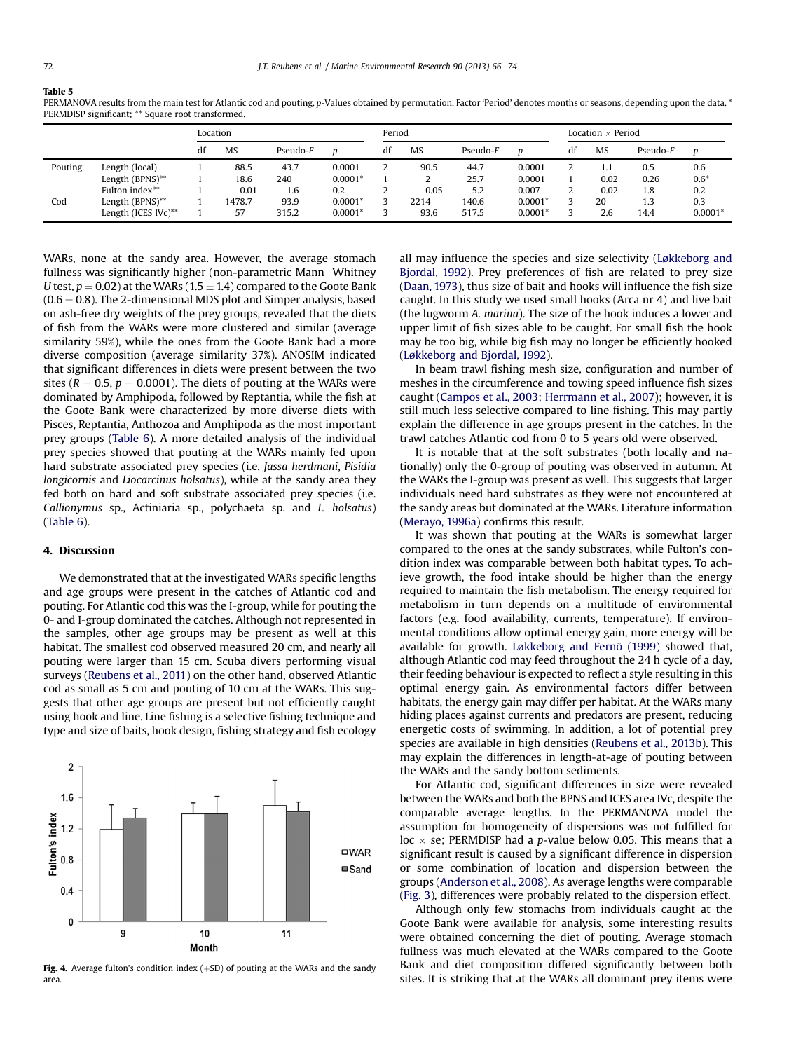#### <span id="page-6-0"></span>Table 5

PERMANOVA results from the main test for Atlantic cod and pouting. p-Values obtained by permutation. Factor 'Period' denotes months or seasons, depending upon the data. \* PERMDISP significant; \*\* Square root transformed.

|         |                     | Location |           |          |           | Period |           |          |           | Location $\times$ Period |           |          |           |
|---------|---------------------|----------|-----------|----------|-----------|--------|-----------|----------|-----------|--------------------------|-----------|----------|-----------|
|         |                     | df       | <b>MS</b> | Pseudo-F | D         | df     | <b>MS</b> | Pseudo-F | D         | df                       | <b>MS</b> | Pseudo-F | D         |
| Pouting | Length (local)      |          | 88.5      | 43.7     | 0.0001    |        | 90.5      | 44.7     | 0.0001    |                          | 1.1       | 0.5      | 0.6       |
|         | Length (BPNS)**     |          | 18.6      | 240      | $0.0001*$ |        |           | 25.7     | 0.0001    |                          | 0.02      | 0.26     | $0.6*$    |
|         | Fulton index**      |          | 0.01      | 1.6      | 0.2       |        | 0.05      | 5.2      | 0.007     |                          | 0.02      | 1.8      | 0.2       |
| Cod     | Length (BPNS)**     |          | 1478.7    | 93.9     | $0.0001*$ |        | 2214      | 140.6    | $0.0001*$ |                          | 20        | 1.3      | 0.3       |
|         | Length (ICES IVc)** |          | 57        | 315.2    | $0.0001*$ |        | 93.6      | 517.5    | $0.0001*$ |                          | 2.6       | 14.4     | $0.0001*$ |

WARs, none at the sandy area. However, the average stomach fullness was significantly higher (non-parametric Mann-Whitney U test,  $p = 0.02$ ) at the WARs (1.5  $\pm$  1.4) compared to the Goote Bank  $(0.6 \pm 0.8)$ . The 2-dimensional MDS plot and Simper analysis, based on ash-free dry weights of the prey groups, revealed that the diets of fish from the WARs were more clustered and similar (average similarity 59%), while the ones from the Goote Bank had a more diverse composition (average similarity 37%). ANOSIM indicated that significant differences in diets were present between the two sites ( $R = 0.5$ ,  $p = 0.0001$ ). The diets of pouting at the WARs were dominated by Amphipoda, followed by Reptantia, while the fish at the Goote Bank were characterized by more diverse diets with Pisces, Reptantia, Anthozoa and Amphipoda as the most important prey groups ([Table 6\)](#page-7-0). A more detailed analysis of the individual prey species showed that pouting at the WARs mainly fed upon hard substrate associated prey species (i.e. Jassa herdmani, Pisidia longicornis and Liocarcinus holsatus), while at the sandy area they fed both on hard and soft substrate associated prey species (i.e. Callionymus sp., Actiniaria sp., polychaeta sp. and L. holsatus) ([Table 6\)](#page-7-0).

## 4. Discussion

We demonstrated that at the investigated WARs specific lengths and age groups were present in the catches of Atlantic cod and pouting. For Atlantic cod this was the I-group, while for pouting the 0- and I-group dominated the catches. Although not represented in the samples, other age groups may be present as well at this habitat. The smallest cod observed measured 20 cm, and nearly all pouting were larger than 15 cm. Scuba divers performing visual surveys ([Reubens et al., 2011\)](#page-8-0) on the other hand, observed Atlantic cod as small as 5 cm and pouting of 10 cm at the WARs. This suggests that other age groups are present but not efficiently caught using hook and line. Line fishing is a selective fishing technique and type and size of baits, hook design, fishing strategy and fish ecology



Fig. 4. Average fulton's condition index  $(+SD)$  of pouting at the WARs and the sandy area.

all may influence the species and size selectivity [\(Løkkeborg and](#page-8-0) [Bjordal, 1992\)](#page-8-0). Prey preferences of fish are related to prey size ([Daan, 1973\)](#page-8-0), thus size of bait and hooks will influence the fish size caught. In this study we used small hooks (Arca nr 4) and live bait (the lugworm A. marina). The size of the hook induces a lower and upper limit of fish sizes able to be caught. For small fish the hook may be too big, while big fish may no longer be efficiently hooked ([Løkkeborg and Bjordal, 1992](#page-8-0)).

In beam trawl fishing mesh size, configuration and number of meshes in the circumference and towing speed influence fish sizes caught ([Campos et al., 2003; Herrmann et al., 2007](#page-8-0)); however, it is still much less selective compared to line fishing. This may partly explain the difference in age groups present in the catches. In the trawl catches Atlantic cod from 0 to 5 years old were observed.

It is notable that at the soft substrates (both locally and nationally) only the 0-group of pouting was observed in autumn. At the WARs the I-group was present as well. This suggests that larger individuals need hard substrates as they were not encountered at the sandy areas but dominated at the WARs. Literature information ([Merayo, 1996a\)](#page-8-0) confirms this result.

It was shown that pouting at the WARs is somewhat larger compared to the ones at the sandy substrates, while Fulton's condition index was comparable between both habitat types. To achieve growth, the food intake should be higher than the energy required to maintain the fish metabolism. The energy required for metabolism in turn depends on a multitude of environmental factors (e.g. food availability, currents, temperature). If environmental conditions allow optimal energy gain, more energy will be available for growth. [Løkkeborg and Fernö \(1999\)](#page-8-0) showed that, although Atlantic cod may feed throughout the 24 h cycle of a day, their feeding behaviour is expected to reflect a style resulting in this optimal energy gain. As environmental factors differ between habitats, the energy gain may differ per habitat. At the WARs many hiding places against currents and predators are present, reducing energetic costs of swimming. In addition, a lot of potential prey species are available in high densities ([Reubens et al., 2013b\)](#page-8-0). This may explain the differences in length-at-age of pouting between the WARs and the sandy bottom sediments.

For Atlantic cod, significant differences in size were revealed between the WARs and both the BPNS and ICES area IVc, despite the comparable average lengths. In the PERMANOVA model the assumption for homogeneity of dispersions was not fulfilled for loc  $\times$  se; PERMDISP had a p-value below 0.05. This means that a significant result is caused by a significant difference in dispersion or some combination of location and dispersion between the groups [\(Anderson et al., 2008\)](#page-7-0). As average lengths were comparable ([Fig. 3](#page-5-0)), differences were probably related to the dispersion effect.

Although only few stomachs from individuals caught at the Goote Bank were available for analysis, some interesting results were obtained concerning the diet of pouting. Average stomach fullness was much elevated at the WARs compared to the Goote Bank and diet composition differed significantly between both sites. It is striking that at the WARs all dominant prey items were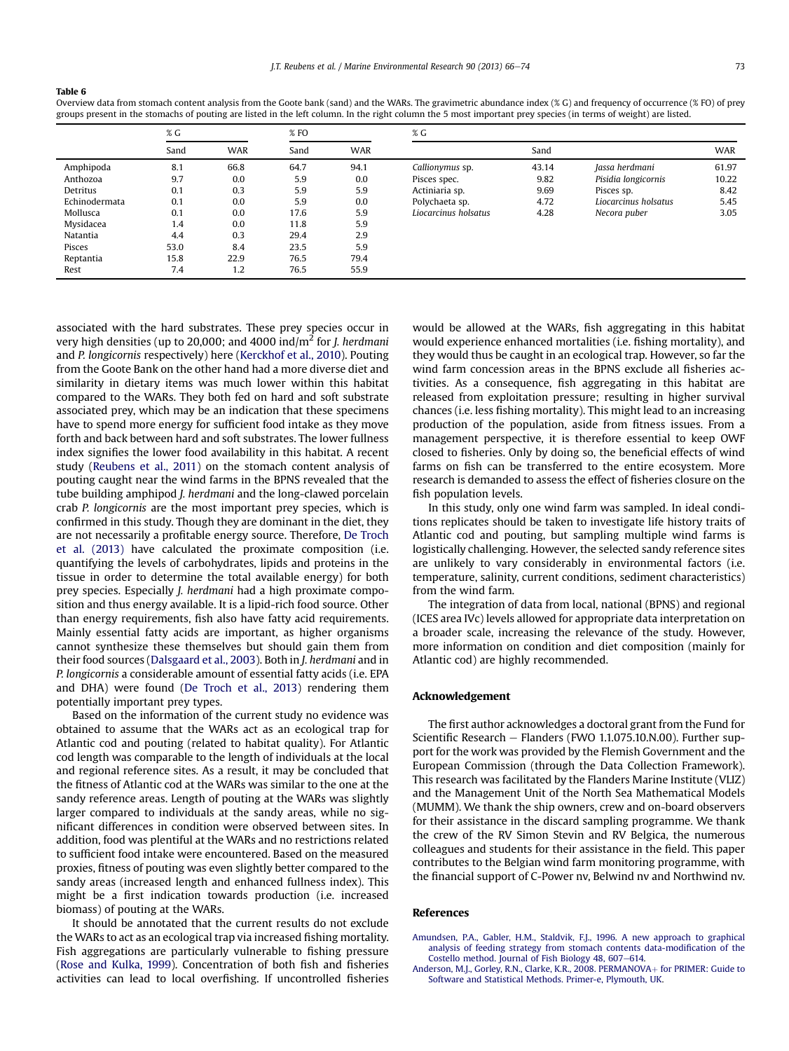#### <span id="page-7-0"></span>Table 6

Overview data from stomach content analysis from the Goote bank (sand) and the WARs. The gravimetric abundance index (% G) and frequency of occurrence (% FO) of prey groups present in the stomachs of pouting are listed in the left column. In the right column the 5 most important prey species (in terms of weight) are listed.

|               | % G  |            | $%$ FO |            | % G                  |       |                      |            |  |  |
|---------------|------|------------|--------|------------|----------------------|-------|----------------------|------------|--|--|
|               | Sand | <b>WAR</b> | Sand   | <b>WAR</b> |                      | Sand  |                      | <b>WAR</b> |  |  |
| Amphipoda     | 8.1  | 66.8       | 64.7   | 94.1       | Callionymus sp.      | 43.14 | Jassa herdmani       | 61.97      |  |  |
| Anthozoa      | 9.7  | 0.0        | 5.9    | 0.0        | Pisces spec.         | 9.82  | Pisidia longicornis  | 10.22      |  |  |
| Detritus      | 0.1  | 0.3        | 5.9    | 5.9        | Actiniaria sp.       | 9.69  | Pisces sp.           | 8.42       |  |  |
| Echinodermata | 0.1  | 0.0        | 5.9    | 0.0        | Polychaeta sp.       | 4.72  | Liocarcinus holsatus | 5.45       |  |  |
| Mollusca      | 0.1  | 0.0        | 17.6   | 5.9        | Liocarcinus holsatus | 4.28  | Necora puber         | 3.05       |  |  |
| Mysidacea     | 1.4  | 0.0        | 11.8   | 5.9        |                      |       |                      |            |  |  |
| Natantia      | 4.4  | 0.3        | 29.4   | 2.9        |                      |       |                      |            |  |  |
| Pisces        | 53.0 | 8.4        | 23.5   | 5.9        |                      |       |                      |            |  |  |
| Reptantia     | 15.8 | 22.9       | 76.5   | 79.4       |                      |       |                      |            |  |  |
| Rest          | 7.4  | 1.2        | 76.5   | 55.9       |                      |       |                      |            |  |  |

associated with the hard substrates. These prey species occur in very high densities (up to 20,000; and 4000 ind/ $m<sup>2</sup>$  for *J. herdmani* and P. longicornis respectively) here [\(Kerckhof et al., 2010](#page-8-0)). Pouting from the Goote Bank on the other hand had a more diverse diet and similarity in dietary items was much lower within this habitat compared to the WARs. They both fed on hard and soft substrate associated prey, which may be an indication that these specimens have to spend more energy for sufficient food intake as they move forth and back between hard and soft substrates. The lower fullness index signifies the lower food availability in this habitat. A recent study [\(Reubens et al., 2011\)](#page-8-0) on the stomach content analysis of pouting caught near the wind farms in the BPNS revealed that the tube building amphipod J. herdmani and the long-clawed porcelain crab P. longicornis are the most important prey species, which is confirmed in this study. Though they are dominant in the diet, they are not necessarily a profitable energy source. Therefore, [De Troch](#page-8-0) [et al. \(2013\)](#page-8-0) have calculated the proximate composition (i.e. quantifying the levels of carbohydrates, lipids and proteins in the tissue in order to determine the total available energy) for both prey species. Especially J. herdmani had a high proximate composition and thus energy available. It is a lipid-rich food source. Other than energy requirements, fish also have fatty acid requirements. Mainly essential fatty acids are important, as higher organisms cannot synthesize these themselves but should gain them from their food sources ([Dalsgaard et al., 2003](#page-8-0)). Both in J. herdmani and in P. longicornis a considerable amount of essential fatty acids (i.e. EPA and DHA) were found [\(De Troch et al., 2013\)](#page-8-0) rendering them potentially important prey types.

Based on the information of the current study no evidence was obtained to assume that the WARs act as an ecological trap for Atlantic cod and pouting (related to habitat quality). For Atlantic cod length was comparable to the length of individuals at the local and regional reference sites. As a result, it may be concluded that the fitness of Atlantic cod at the WARs was similar to the one at the sandy reference areas. Length of pouting at the WARs was slightly larger compared to individuals at the sandy areas, while no significant differences in condition were observed between sites. In addition, food was plentiful at the WARs and no restrictions related to sufficient food intake were encountered. Based on the measured proxies, fitness of pouting was even slightly better compared to the sandy areas (increased length and enhanced fullness index). This might be a first indication towards production (i.e. increased biomass) of pouting at the WARs.

It should be annotated that the current results do not exclude the WARs to act as an ecological trap via increased fishing mortality. Fish aggregations are particularly vulnerable to fishing pressure ([Rose and Kulka, 1999](#page-8-0)). Concentration of both fish and fisheries activities can lead to local overfishing. If uncontrolled fisheries would be allowed at the WARs, fish aggregating in this habitat would experience enhanced mortalities (i.e. fishing mortality), and they would thus be caught in an ecological trap. However, so far the wind farm concession areas in the BPNS exclude all fisheries activities. As a consequence, fish aggregating in this habitat are released from exploitation pressure; resulting in higher survival chances (i.e. less fishing mortality). This might lead to an increasing production of the population, aside from fitness issues. From a management perspective, it is therefore essential to keep OWF closed to fisheries. Only by doing so, the beneficial effects of wind farms on fish can be transferred to the entire ecosystem. More research is demanded to assess the effect of fisheries closure on the fish population levels.

In this study, only one wind farm was sampled. In ideal conditions replicates should be taken to investigate life history traits of Atlantic cod and pouting, but sampling multiple wind farms is logistically challenging. However, the selected sandy reference sites are unlikely to vary considerably in environmental factors (i.e. temperature, salinity, current conditions, sediment characteristics) from the wind farm.

The integration of data from local, national (BPNS) and regional (ICES area IVc) levels allowed for appropriate data interpretation on a broader scale, increasing the relevance of the study. However, more information on condition and diet composition (mainly for Atlantic cod) are highly recommended.

## Acknowledgement

The first author acknowledges a doctoral grant from the Fund for Scientific Research - Flanders (FWO 1.1.075.10.N.00). Further support for the work was provided by the Flemish Government and the European Commission (through the Data Collection Framework). This research was facilitated by the Flanders Marine Institute (VLIZ) and the Management Unit of the North Sea Mathematical Models (MUMM). We thank the ship owners, crew and on-board observers for their assistance in the discard sampling programme. We thank the crew of the RV Simon Stevin and RV Belgica, the numerous colleagues and students for their assistance in the field. This paper contributes to the Belgian wind farm monitoring programme, with the financial support of C-Power nv, Belwind nv and Northwind nv.

#### References

[Amundsen, P.A., Gabler, H.M., Staldvik, F.J., 1996. A new approach to graphical](http://refhub.elsevier.com/S0141-1136(13)00096-2/sref1) [analysis of feeding strategy from stomach contents data-modi](http://refhub.elsevier.com/S0141-1136(13)00096-2/sref1)fication of the [Costello method. Journal of Fish Biology 48, 607](http://refhub.elsevier.com/S0141-1136(13)00096-2/sref1)-[614](http://refhub.elsevier.com/S0141-1136(13)00096-2/sref1).

[Anderson, M.J., Gorley, R.N., Clarke, K.R., 2008. PERMANOVA](http://refhub.elsevier.com/S0141-1136(13)00096-2/sref2)+ [for PRIMER: Guide to](http://refhub.elsevier.com/S0141-1136(13)00096-2/sref2) [Software and Statistical Methods. Primer-e, Plymouth, UK.](http://refhub.elsevier.com/S0141-1136(13)00096-2/sref2)